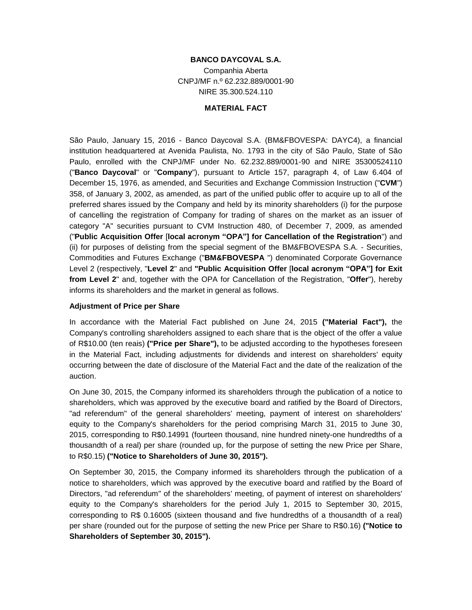# **BANCO DAYCOVAL S.A.**

Companhia Aberta CNPJ/MF n.º 62.232.889/0001-90 NIRE 35.300.524.110

#### **MATERIAL FACT**

São Paulo, January 15, 2016 - Banco Daycoval S.A. (BM&FBOVESPA: DAYC4), a financial institution headquartered at Avenida Paulista, No. 1793 in the city of São Paulo, State of São Paulo, enrolled with the CNPJ/MF under No. 62.232.889/0001-90 and NIRE 35300524110 ("**Banco Daycoval**" or "**Company**"), pursuant to Article 157, paragraph 4, of Law 6.404 of December 15, 1976, as amended, and Securities and Exchange Commission Instruction ("**CVM**") 358, of January 3, 2002, as amended, as part of the unified public offer to acquire up to all of the preferred shares issued by the Company and held by its minority shareholders (i) for the purpose of cancelling the registration of Company for trading of shares on the market as an issuer of category "A" securities pursuant to CVM Instruction 480, of December 7, 2009, as amended ("**Public Acquisition Offer** [**local acronym "OPA"] for Cancellation of the Registration**") and (ii) for purposes of delisting from the special segment of the BM&FBOVESPA S.A. - Securities, Commodities and Futures Exchange ("**BM&FBOVESPA** ") denominated Corporate Governance Level 2 (respectively, "**Level 2**" and **"Public Acquisition Offer** [**local acronym "OPA"] for Exit from Level 2**" and, together with the OPA for Cancellation of the Registration, "**Offer**"), hereby informs its shareholders and the market in general as follows.

### **Adjustment of Price per Share**

In accordance with the Material Fact published on June 24, 2015 **("Material Fact"),** the Company's controlling shareholders assigned to each share that is the object of the offer a value of R\$10.00 (ten reais) **("Price per Share"),** to be adjusted according to the hypotheses foreseen in the Material Fact, including adjustments for dividends and interest on shareholders' equity occurring between the date of disclosure of the Material Fact and the date of the realization of the auction.

On June 30, 2015, the Company informed its shareholders through the publication of a notice to shareholders, which was approved by the executive board and ratified by the Board of Directors, "ad referendum" of the general shareholders' meeting, payment of interest on shareholders' equity to the Company's shareholders for the period comprising March 31, 2015 to June 30, 2015, corresponding to R\$0.14991 (fourteen thousand, nine hundred ninety-one hundredths of a thousandth of a real) per share (rounded up, for the purpose of setting the new Price per Share, to R\$0.15) **("Notice to Shareholders of June 30, 2015").**

On September 30, 2015, the Company informed its shareholders through the publication of a notice to shareholders, which was approved by the executive board and ratified by the Board of Directors, "ad referendum" of the shareholders' meeting, of payment of interest on shareholders' equity to the Company's shareholders for the period July 1, 2015 to September 30, 2015, corresponding to R\$ 0.16005 (sixteen thousand and five hundredths of a thousandth of a real) per share (rounded out for the purpose of setting the new Price per Share to R\$0.16) **("Notice to Shareholders of September 30, 2015").**